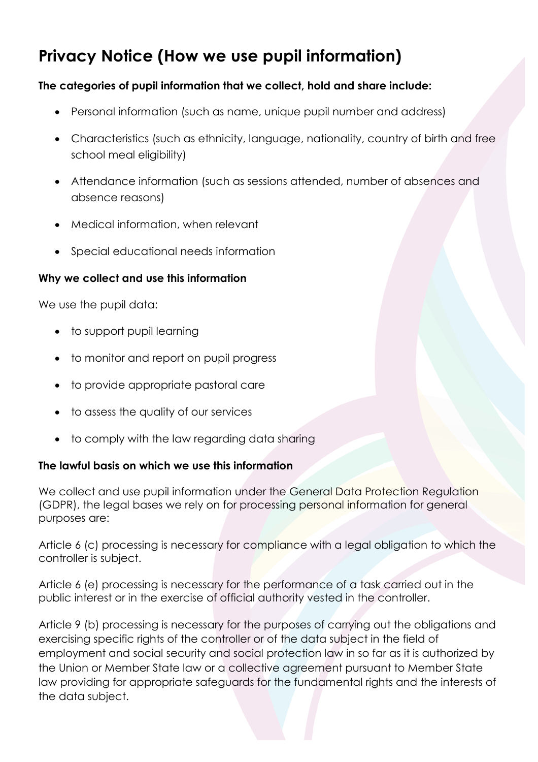# **Privacy Notice (How we use pupil information)**

### **The categories of pupil information that we collect, hold and share include:**

- Personal information (such as name, unique pupil number and address)
- Characteristics (such as ethnicity, language, nationality, country of birth and free school meal eligibility)
- Attendance information (such as sessions attended, number of absences and absence reasons)
- Medical information, when relevant
- Special educational needs information

#### **Why we collect and use this information**

We use the pupil data:

- to support pupil learning
- to monitor and report on pupil progress
- to provide appropriate pastoral care
- to assess the quality of our services
- to comply with the law regarding data sharing

#### **The lawful basis on which we use this information**

We collect and use pupil information under the General Data Protection Regulation (GDPR), the legal bases we rely on for processing personal information for general purposes are:

Article 6 (c) processing is necessary for compliance with a legal obligation to which the controller is subject.

Article 6 (e) processing is necessary for the performance of a task carried out in the public interest or in the exercise of official authority vested in the controller.

Article 9 (b) processing is necessary for the purposes of carrying out the obligations and exercising specific rights of the controller or of the data subject in the field of employment and social security and social protection law in so far as it is authorized by the Union or Member State law or a collective agreement pursuant to Member State law providing for appropriate safeguards for the fundamental rights and the interests of the data subject.

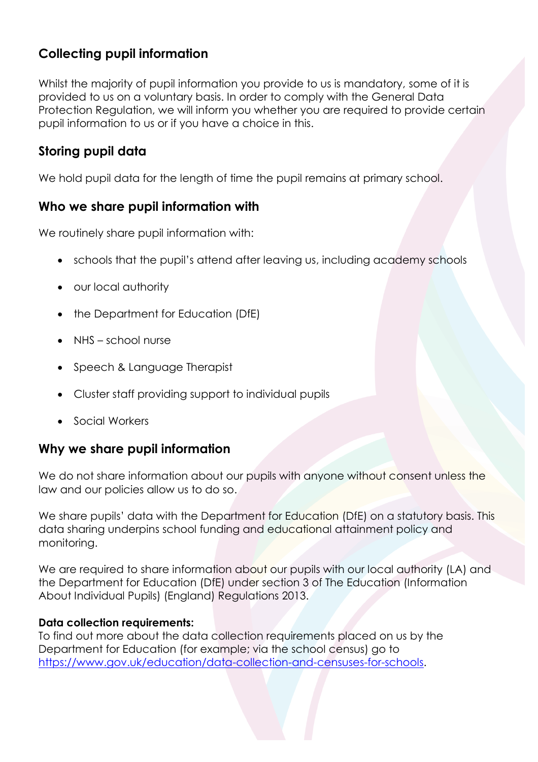# **Collecting pupil information**

Whilst the majority of pupil information you provide to us is mandatory, some of it is provided to us on a voluntary basis. In order to comply with the General Data Protection Regulation, we will inform you whether you are required to provide certain pupil information to us or if you have a choice in this.

### **Storing pupil data**

We hold pupil data for the length of time the pupil remains at primary school.

### **Who we share pupil information with**

We routinely share pupil information with:

- schools that the pupil's attend after leaving us, including academy schools
- our local authority
- the Department for Education (DfE)
- NHS school nurse
- Speech & Language Therapist
- Cluster staff providing support to individual pupils
- Social Workers

### **Why we share pupil information**

We do not share information about our pupils with anyone without consent unless the law and our policies allow us to do so.

We share pupils' data with the Department for Education (DfE) on a statutory basis. This data sharing underpins school funding and educational attainment policy and monitoring.

We are required to share information about our pupils with our local authority (LA) and the Department for Education (DfE) under section 3 of The Education (Information About Individual Pupils) (England) Regulations 2013.

### **Data collection requirements:**

To find out more about the data collection requirements placed on us by the Department for Education (for example; via the school census) go to [https://www.gov.uk/education/data-collection-and-censuses-for-schools.](https://www.gov.uk/education/data-collection-and-censuses-for-schools)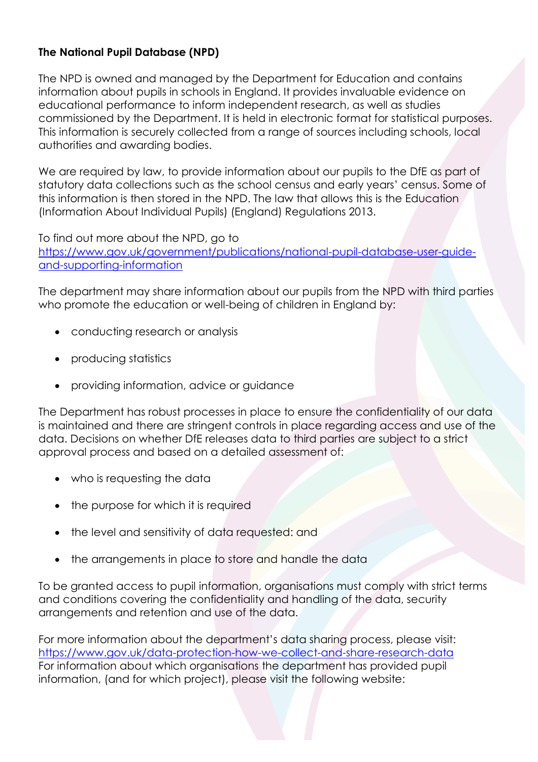### **The National Pupil Database (NPD)**

The NPD is owned and managed by the Department for Education and contains information about pupils in schools in England. It provides invaluable evidence on educational performance to inform independent research, as well as studies commissioned by the Department. It is held in electronic format for statistical purposes. This information is securely collected from a range of sources including schools, local authorities and awarding bodies.

We are required by law, to provide information about our pupils to the DfE as part of statutory data collections such as the school census and early years' census. Some of this information is then stored in the NPD. The law that allows this is the Education (Information About Individual Pupils) (England) Regulations 2013.

To find out more about the NPD, go to [https://www.gov.uk/government/publications/national-pupil-database-user-guide](https://www.gov.uk/government/publications/national-pupil-database-user-guide-and-supporting-information)[and-supporting-information](https://www.gov.uk/government/publications/national-pupil-database-user-guide-and-supporting-information)

The department may share information about our pupils from the NPD with third parties who promote the education or well-being of children in England by:

- conducting research or analysis
- producing statistics
- providing information, advice or guidance

The Department has robust processes in place to ensure the confidentiality of our data is maintained and there are stringent controls in place regarding access and use of the data. Decisions on whether DfE releases data to third parties are subject to a strict approval process and based on a detailed assessment of:

- who is requesting the data
- the purpose for which it is required
- the level and sensitivity of data requested: and
- the arrangements in place to store and handle the data

To be granted access to pupil information, organisations must comply with strict terms and conditions covering the confidentiality and handling of the data, security arrangements and retention and use of the data.

For more information about the department's data sharing process, please visit: <https://www.gov.uk/data-protection-how-we-collect-and-share-research-data> For information about which organisations the department has provided pupil information, (and for which project), please visit the following website: